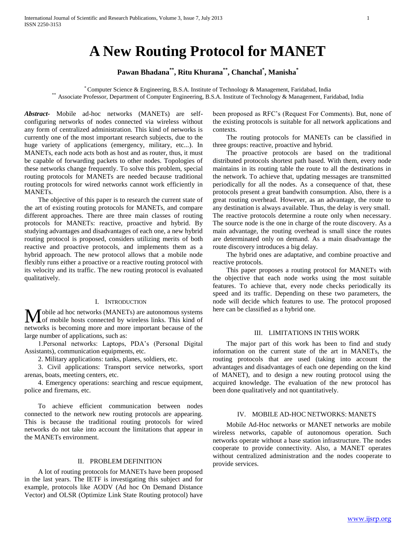# **A New Routing Protocol for MANET**

# **Pawan Bhadana\*\*, Ritu Khurana\*\*, Chanchal\* , Manisha\***

\* Computer Science & Engineering, B.S.A. Institute of Technology & Management, Faridabad, India \*\* Associate Professor, Department of Computer Engineering, B.S.A. Institute of Technology & Management, Faridabad, India

*Abstract***-** Mobile ad-hoc networks (MANETs) are selfconfiguring networks of nodes connected via wireless without any form of centralized administration. This kind of networks is currently one of the most important research subjects, due to the huge variety of applications (emergency, military, etc...). In MANETs, each node acts both as host and as router, thus, it must be capable of forwarding packets to other nodes. Topologies of these networks change frequently. To solve this problem, special routing protocols for MANETs are needed because traditional routing protocols for wired networks cannot work efficiently in MANETs.

 The objective of this paper is to research the current state of the art of existing routing protocols for MANETs, and compare different approaches. There are three main classes of routing protocols for MANETs: reactive, proactive and hybrid. By studying advantages and disadvantages of each one, a new hybrid routing protocol is proposed, considers utilizing merits of both reactive and proactive protocols, and implements them as a hybrid approach. The new protocol allows that a mobile node flexibly runs either a proactive or a reactive routing protocol with its velocity and its traffic. The new routing protocol is evaluated qualitatively.

## I. INTRODUCTION

**M** obile ad hoc networks (MANETs) are autonomous systems of or mobile hosts connected by wireless links. This kind of Lof mobile hosts connected by wireless links. This kind of networks is becoming more and more important because of the large number of applications, such as:

 1.Personal networks: Laptops, PDA"s (Personal Digital Assistants), communication equipments, etc.

2. Military applications: tanks, planes, soldiers, etc.

 3. Civil applications: Transport service networks, sport arenas, boats, meeting centers, etc.

 4. Emergency operations: searching and rescue equipment, police and firemans, etc.

 To achieve efficient communication between nodes connected to the network new routing protocols are appearing. This is because the traditional routing protocols for wired networks do not take into account the limitations that appear in the MANETs environment.

### II. PROBLEM DEFINITION

 A lot of routing protocols for MANETs have been proposed in the last years. The IETF is investigating this subject and for example, protocols like AODV (Ad hoc On Demand Distance Vector) and OLSR (Optimize Link State Routing protocol) have

been proposed as RFC"s (Request For Comments). But, none of the existing protocols is suitable for all network applications and contexts.

 The routing protocols for MANETs can be classified in three groups: reactive, proactive and hybrid.

 The proactive protocols are based on the traditional distributed protocols shortest path based. With them, every node maintains in its routing table the route to all the destinations in the network. To achieve that, updating messages are transmitted periodically for all the nodes. As a consequence of that, these protocols present a great bandwith consumption. Also, there is a great routing overhead. However, as an advantage, the route to any destination is always available. Thus, the delay is very small. The reactive protocols determine a route only when necessary. The source node is the one in charge of the route discovery. As a main advantage, the routing overhead is small since the routes are determinated only on demand. As a main disadvantage the route discovery introduces a big delay.

 The hybrid ones are adaptative, and combine proactive and reactive protocols.

 This paper proposes a routing protocol for MANETs with the objective that each node works using the most suitable features. To achieve that, every node checks periodically its speed and its traffic. Depending on these two parameters, the node will decide which features to use. The protocol proposed here can be classified as a hybrid one.

## III. LIMITATIONS IN THIS WORK

 The major part of this work has been to find and study information on the current state of the art in MANETs, the routing protocols that are used (taking into account the advantages and disadvantages of each one depending on the kind of MANET), and to design a new routing protocol using the acquired knowledge. The evaluation of the new protocol has been done qualitatively and not quantitatively.

## IV. MOBILE AD-HOC NETWORKS: MANETS

 Mobile Ad-Hoc networks or MANET networks are mobile wireless networks, capable of autonomous operation. Such networks operate without a base station infrastructure. The nodes cooperate to provide connectivity. Also, a MANET operates without centralized administration and the nodes cooperate to provide services.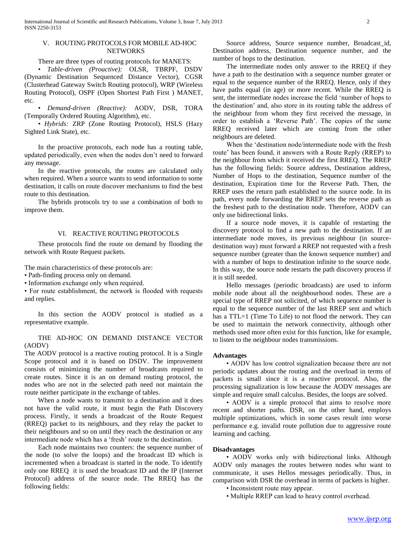## V. ROUTING PROTOCOLS FOR MOBILE AD-HOC **NETWORKS**

There are three types of routing protocols for MANETS:

 • *Table-driven (Proactive):* OLSR, TBRPF, DSDV (Dynamic Destination Sequenced Distance Vector), CGSR (Clusterhead Gateway Switch Routing protocol), WRP (Wireless Routing Protocol), OSPF (Open Shortest Path First ) MANET, etc.

 • *Demand-driven (Reactive):* AODV, DSR, TORA (Temporally Ordered Routing Algorithm), etc.

 • *Hybrids:* ZRP (Zone Routing Protocol), HSLS (Hazy Sighted Link State), etc.

 In the proactive protocols, each node has a routing table, updated periodically, even when the nodes don"t need to forward any message.

 In the reactive protocols, the routes are calculated only when required. When a source wants to send information to some destination, it calls on route discover mechanisms to find the best route to this destination.

 The hybrids protocols try to use a combination of both to improve them.

## VI. REACTIVE ROUTING PROTOCOLS

 These protocols find the route on demand by flooding the network with Route Request packets.

The main characteristics of these protocols are:

• Path-finding process only on demand.

• Information exchange only when required.

• For route establishment, the network is flooded with requests and replies.

 In this section the AODV protocol is studied as a representative example.

## THE AD-HOC ON DEMAND DISTANCE VECTOR (AODV)

The AODV protocol is a reactive routing protocol. It is a Single Scope protocol and it is based on DSDV. The improvement consists of minimizing the number of broadcasts required to create routes. Since it is an on demand routing protocol, the nodes who are not in the selected path need not maintain the route neither participate in the exchange of tables.

 When a node wants to transmit to a destination and it does not have the valid route, it must begin the Path Discovery process. Firstly, it sends a broadcast of the Route Request (RREQ) packet to its neighbours, and they relay the packet to their neighbours and so on until they reach the destination or any intermediate node which has a 'fresh' route to the destination.

 Each node maintains two counters: the sequence number of the node (to solve the loops) and the broadcast ID which is incremented when a broadcast is started in the node. To identify only one RREQ it is used the broadcast ID and the IP (Internet Protocol) address of the source node. The RREQ has the following fields:

 Source address, Source sequence number, Broadcast\_id, Destination address, Destination sequence number, and the number of hops to the destination.

 The intermediate nodes only answer to the RREQ if they have a path to the destination with a sequence number greater or equal to the sequence number of the RREQ. Hence, only if they have paths equal (in age) or more recent. While the RREQ is sent, the intermediate nodes increase the field "number of hops to the destination" and, also store in its routing table the address of the neighbour from whom they first received the message, in order to establish a "Reverse Path". The copies of the same RREQ received later which are coming from the other neighbours are deleted.

 When the "destination node/intermediate node with the fresh route' has been found, it answers with a Route Reply (RREP) to the neighbour from which it received the first RREQ. The RREP has the following fields: Source address, Destination address, Number of Hops to the destination, Sequence number of the destination, Expiration time for the Reverse Path. Then, the RREP uses the return path established to the source node. In its path, every node forwarding the RREP sets the reverse path as the freshest path to the destination node. Therefore, AODV can only use bidirectional links.

 If a source node moves, it is capable of restarting the discovery protocol to find a new path to the destination. If an intermediate node moves, its previous neighbour (in sourcedestination way) must forward a RREP not requested with a fresh sequence number (greater than the known sequence number) and with a number of hops to destination infinite to the source node. In this way, the source node restarts the path discovery process if it is still needed.

 Hello messages (periodic broadcasts) are used to inform mobile node about all the neighbourhood nodes. These are a special type of RREP not solicited, of which sequence number is equal to the sequence number of the last RREP sent and which has a TTL=1 (Time To Life) to not flood the network. They can be used to maintain the network connectivity, although other methods used more often exist for this function, like for example, to listen to the neighbour nodes transmissions.

#### **Advantages**

 • AODV has low control signalization because there are not periodic updates about the routing and the overload in terms of packets is small since it is a reactive protocol. Also, the processing signalization is low because the AODV messages are simple and require small calculus. Besides, the loops are solved.

 • AODV is a simple protocol that aims to resolve more recent and shorter paths. DSR, on the other hand, employs multiple optimizations, which in some cases result into worse performance e.g. invalid route pollution due to aggressive route learning and caching.

#### **Disadvantages**

• AODV works only with bidirectional links. Although AODV only manages the routes between nodes who want to communicate, it uses Hellos messages periodically. Thus, in comparison with DSR the overhead in terms of packets is higher.

- Inconsistent route may appear.
- Multiple RREP can lead to heavy control overhead.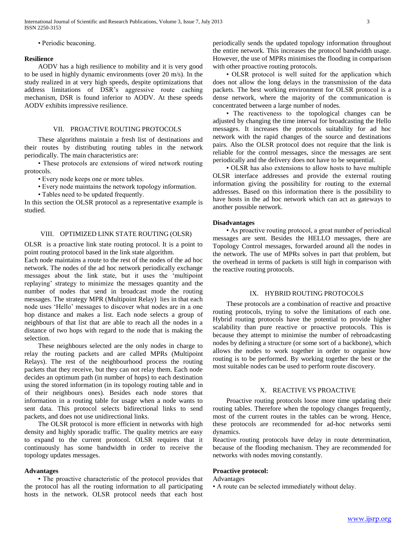• Periodic beaconing.

#### **Resilience**

 AODV has a high resilience to mobility and it is very good to be used in highly dynamic environments (over 20 m/s). In the study realized in at very high speeds, despite optimizations that address limitations of DSR"s aggressive route caching mechanism, DSR is found inferior to AODV. At these speeds AODV exhibits impressive resilience.

## VII. PROACTIVE ROUTING PROTOCOLS

 These algorithms maintain a fresh list of destinations and their routes by distributing routing tables in the network periodically. The main characteristics are:

 • These protocols are extensions of wired network routing protocols.

• Every node keeps one or more tables.

• Every node maintains the network topology information.

• Tables need to be updated frequently.

In this section the OLSR protocol as a representative example is studied.

## VIII. OPTIMIZED LINK STATE ROUTING (OLSR)

OLSR is a proactive link state routing protocol. It is a point to point routing protocol based in the link state algorithm.

Each node maintains a route to the rest of the nodes of the ad hoc network. The nodes of the ad hoc network periodically exchange messages about the link state, but it uses the "multipoint replaying" strategy to minimize the messages quantity and the number of nodes that send in broadcast mode the routing messages. The strategy MPR (Multipoint Relay) lies in that each node uses "Hello" messages to discover what nodes are in a one hop distance and makes a list. Each node selects a group of neighbours of that list that are able to reach all the nodes in a distance of two hops with regard to the node that is making the selection.

 These neighbours selected are the only nodes in charge to relay the routing packets and are called MPRs (Multipoint Relays). The rest of the neighbourhood process the routing packets that they receive, but they can not relay them. Each node decides an optimum path (in number of hops) to each destination using the stored information (in its topology routing table and in of their neighbours ones). Besides each node stores that information in a routing table for usage when a node wants to sent data. This protocol selects bidirectional links to send packets, and does not use unidirectional links.

 The OLSR protocol is more efficient in networks with high density and highly sporadic traffic. The quality metrics are easy to expand to the current protocol. OLSR requires that it continuously has some bandwidth in order to receive the topology updates messages.

#### **Advantages**

 • The proactive characteristic of the protocol provides that the protocol has all the routing information to all participating hosts in the network. OLSR protocol needs that each host

periodically sends the updated topology information throughout the entire network. This increases the protocol bandwidth usage. However, the use of MPRs minimises the flooding in comparison with other proactive routing protocols.

 • OLSR protocol is well suited for the application which does not allow the long delays in the transmission of the data packets. The best working environment for OLSR protocol is a dense network, where the majority of the communication is concentrated between a large number of nodes.

 • The reactiveness to the topological changes can be adjusted by changing the time interval for broadcasting the Hello messages. It increases the protocols suitability for ad hoc network with the rapid changes of the source and destinations pairs. Also the OLSR protocol does not require that the link is reliable for the control messages, since the messages are sent periodically and the delivery does not have to be sequential.

 • OLSR has also extensions to allow hosts to have multiple OLSR interface addresses and provide the external routing information giving the possibility for routing to the external addresses. Based on this information there is the possibility to have hosts in the ad hoc network which can act as gateways to another possible network.

## **Disadvantages**

 • As proactive routing protocol, a great number of periodical messages are sent. Besides the HELLO messages, there are Topology Control messages, forwarded around all the nodes in the network. The use of MPRs solves in part that problem, but the overhead in terms of packets is still high in comparison with the reactive routing protocols.

## IX. HYBRID ROUTING PROTOCOLS

 These protocols are a combination of reactive and proactive routing protocols, trying to solve the limitations of each one. Hybrid routing protocols have the potential to provide higher scalability than pure reactive or proactive protocols. This is because they attempt to minimise the number of rebroadcasting nodes by defining a structure (or some sort of a backbone), which allows the nodes to work together in order to organise how routing is to be performed. By working together the best or the most suitable nodes can be used to perform route discovery.

## X. REACTIVE VS PROACTIVE

 Proactive routing protocols loose more time updating their routing tables. Therefore when the topology changes frequently, most of the current routes in the tables can be wrong. Hence, these protocols are recommended for ad-hoc networks semi dynamics.

Reactive routing protocols have delay in route determination, because of the flooding mechanism. They are recommended for networks with nodes moving constantly.

## **Proactive protocol:**

Advantages

• A route can be selected immediately without delay.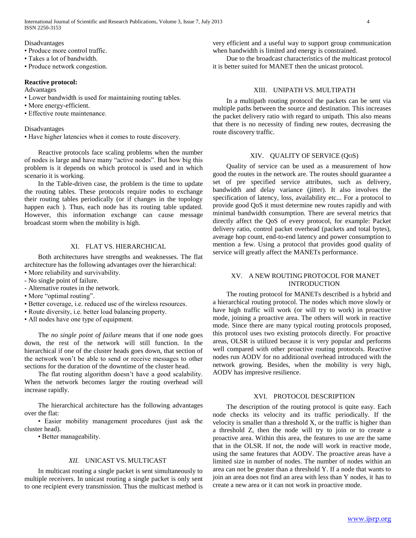Disadvantages

- Produce more control traffic.
- Takes a lot of bandwidth.

• Produce network congestion.

## **Reactive protocol:**

Advantages

- Lower bandwidth is used for maintaining routing tables.
- More energy-efficient.
- Effective route maintenance.

#### Disadvantages

• Have higher latencies when it comes to route discovery.

 Reactive protocols face scaling problems when the number of nodes is large and have many "active nodes". But how big this problem is it depends on which protocol is used and in which scenario it is working.

 In the Table-driven case, the problem is the time to update the routing tables. These protocols require nodes to exchange their routing tables periodically (or if changes in the topology happen each ). Thus, each node has its routing table updated. However, this information exchange can cause message broadcast storm when the mobility is high.

## XI. FLAT VS. HIERARCHICAL

 Both architectures have strengths and weaknesses. The flat architecture has the following advantages over the hierarchical: • More reliability and survivability.

- No single point of failure.
- Alternative routes in the network.
- More "optimal routing".
- Better coverage, i.e. reduced use of the wireless resources.
- Route diversity, i.e. better load balancing property.
- All nodes have one type of equipment.

 The *no single point of failure* means that if one node goes down, the rest of the network will still function. In the hierarchical if one of the cluster heads goes down, that section of the network won"t be able to send or receive messages to other sections for the duration of the downtime of the cluster head.

The flat routing algorithm doesn't have a good scalability. When the network becomes larger the routing overhead will increase rapidly.

 The hierarchical architecture has the following advantages over the flat:

 • Easier mobility management procedures (just ask the cluster head).

• Better manageability.

## *XII.* UNICAST VS. MULTICAST

 In multicast routing a single packet is sent simultaneously to multiple receivers. In unicast routing a single packet is only sent to one recipient every transmission. Thus the multicast method is very efficient and a useful way to support group communication when bandwidth is limited and energy is constrained.

 Due to the broadcast characteristics of the multicast protocol it is better suited for MANET then the unicast protocol.

## XIII. UNIPATH VS. MULTIPATH

 In a multipath routing protocol the packets can be sent via multiple paths between the source and destination. This increases the packet delivery ratio with regard to unipath. This also means that there is no necessity of finding new routes, decreasing the route discovery traffic.

### XIV. QUALITY OF SERVICE (QOS)

 Quality of service can be used as a measurement of how good the routes in the network are. The routes should guarantee a set of pre specified service attributes, such as delivery, bandwidth and delay variance (jitter). It also involves the specification of latency, loss, availability etc... For a protocol to provide good QoS it must determine new routes rapidly and with minimal bandwidth consumption. There are several metrics that directly affect the QoS of every protocol, for example: Packet delivery ratio, control packet overhead (packets and total bytes), average hop count, end-to-end latency and power consumption to mention a few. Using a protocol that provides good quality of service will greatly affect the MANETs performance.

## XV. A NEW ROUTING PROTOCOL FOR MANET INTRODUCTION

 The routing protocol for MANETs described is a hybrid and a hierarchical routing protocol. The nodes which move slowly or have high traffic will work (or will try to work) in proactive mode, joining a proactive area. The others will work in reactive mode. Since there are many typical routing protocols proposed, this protocol uses two existing protocols directly. For proactive areas, OLSR is utilized because it is very popular and performs well compared with other proactive routing protocols. Reactive nodes run AODV for no additional overhead introduced with the network growing. Besides, when the mobility is very high, AODV has impresive resilience.

## XVI. PROTOCOL DESCRIPTION

 The description of the routing protocol is quite easy. Each node checks its velocity and its traffic periodically. If the velocity is smaller than a threshold X, or the traffic is higher than a threshold Z, then the node will try to join or to create a proactive area. Within this area, the features to use are the same that in the OLSR. If not, the node will work in reactive mode, using the same features that AODV. The proactive areas have a limited size in number of nodes. The number of nodes within an area can not be greater than a threshold Y. If a node that wants to join an area does not find an area with less than Y nodes, it has to create a new area or it can not work in proactive mode.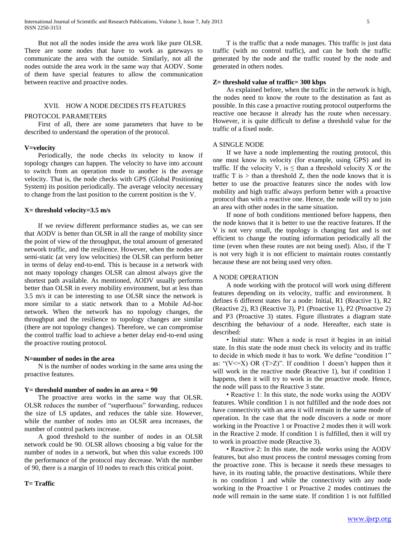But not all the nodes inside the area work like pure OLSR. There are some nodes that have to work as gateways to communicate the area with the outside. Similarly, not all the nodes outside the area work in the same way that AODV. Some of them have special features to allow the communication between reactive and proactive nodes.

### XVII. HOW A NODE DECIDES ITS FEATURES

#### PROTOCOL PARAMETERS

 First of all, there are some parameters that have to be described to understand the operation of the protocol.

#### **V=velocity**

 Periodically, the node checks its velocity to know if topology changes can happen. The velocity to have into account to switch from an operation mode to another is the average velocity. That is, the node checks with GPS (Global Positioning System) its position periodically. The average velocity necessary to change from the last position to the current position is the V.

#### **X= threshold velocity=3.5 m/s**

 If we review different performance studies as, we can see that AODV is better than OLSR in all the range of mobility since the point of view of the throughput, the total amount of generated network traffic, and the resilience. However, when the nodes are semi-static (at very low velocities) the OLSR can perform better in terms of delay end-to-end. This is because in a network with not many topology changes OLSR can almost always give the shortest path available. As mentioned, AODV usually performs better than OLSR in every mobility environment, but at less than 3.5 m/s it can be interesting to use OLSR since the network is more similar to a static network than to a Mobile Ad-hoc network. When the network has no topology changes, the throughput and the resilience to topology changes are similar (there are not topology changes). Therefore, we can compromise the control traffic load to achieve a better delay end-to-end using the proactive routing protocol.

#### **N=number of nodes in the area**

 N is the number of nodes working in the same area using the proactive features.

#### **Y= threshold number of nodes in an area = 90**

 The proactive area works in the same way that OLSR. OLSR reduces the number of "superfluous" forwarding, reduces the size of LS updates, and reduces the table size. However, while the number of nodes into an OLSR area increases, the number of control packets increase.

 A good threshold to the number of nodes in an OLSR network could be 90. OLSR allows choosing a big value for the number of nodes in a network, but when this value exceeds 100 the performance of the protocol may decrease. With the number of 90, there is a margin of 10 nodes to reach this critical point.

## **T= Traffic**

 T is the traffic that a node manages. This traffic is just data traffic (with no control traffic), and can be both the traffic generated by the node and the traffic routed by the node and generated in others nodes.

#### **Z= threshold value of traffic= 300 kbps**

 As explained before, when the traffic in the network is high, the nodes need to know the route to the destination as fast as possible. In this case a proactive routing protocol outperforms the reactive one because it already has the route when necessary. However, it is quite difficult to define a threshold value for the traffic of a fixed node.

#### A SINGLE NODE

 If we have a node implementing the routing protocol, this one must know its velocity (for example, using GPS) and its traffic. If the velocity V, is  $\leq$  than a threshold velocity X or the traffic  $T$  is  $>$  than a threshold  $Z$ , then the node knows that it is better to use the proactive features since the nodes with low mobility and high traffic always perform better with a proactive protocol than with a reactive one. Hence, the node will try to join an area with other nodes in the same situation.

 If none of both conditions mentioned before happens, then the node knows that it is better to use the reactive features. If the V is not very small, the topology is changing fast and is not efficient to change the routing information periodically all the time (even when these routes are not being used). Also, if the T is not very high it is not efficient to maintain routes constantly because these are not being used very often.

### A NODE OPERATION

 A node working with the protocol will work using different features depending on its velocity, traffic and environment. It defines 6 different states for a node: Initial, R1 (Reactive 1), R2 (Reactive 2), R3 (Reactive 3), P1 (Proactive 1), P2 (Proactive 2) and P3 (Proactive 3) states. Figure illustrates a diagram state describing the behaviour of a node. Hereafter, each state is described:

 • Initial state: When a node is reset it begins in an initial state. In this state the node must check its velocity and its traffic to decide in which mode it has to work. We define "condition 1" as: " $(V \le X)$  OR  $(T \ge Z)$ ". If condition 1 doesn't happen then it will work in the reactive mode (Reactive 1), but if condition 1 happens, then it will try to work in the proactive mode. Hence, the node will pass to the Reactive 3 state.

 • Reactive 1: In this state, the node works using the AODV features. While condition 1 is not fulfilled and the node does not have connectivity with an area it will remain in the same mode of operation. In the case that the node discovers a node or more working in the Proactive 1 or Proactive 2 modes then it will work in the Reactive 2 mode. If condition 1 is fulfilled, then it will try to work in proactive mode (Reactive 3).

 • Reactive 2: In this state, the node works using the AODV features, but also must process the control messages coming from the proactive zone. This is because it needs these messages to have, in its routing table, the proactive destinations. While there is no condition 1 and while the connectivity with any node working in the Proactive 1 or Proactive 2 modes continues the node will remain in the same state. If condition 1 is not fulfilled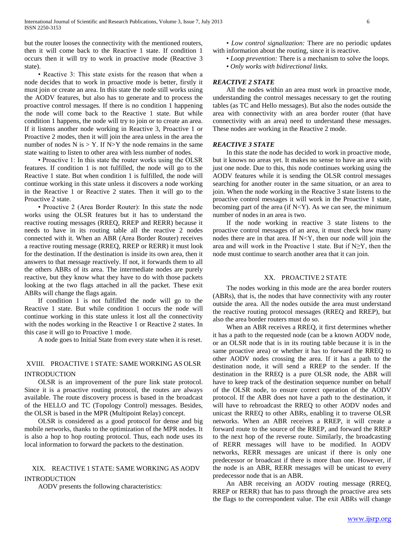but the router looses the connectivity with the mentioned routers, then it will come back to the Reactive 1 state. If condition 1 occurs then it will try to work in proactive mode (Reactive 3 state).

 • Reactive 3: This state exists for the reason that when a node decides that to work in proactive mode is better, firstly it must join or create an area. In this state the node still works using the AODV features, but also has to generate and to process the proactive control messages. If there is no condition 1 happening the node will come back to the Reactive 1 state. But while condition 1 happens, the node will try to join or to create an area. If it listens another node working in Reactive 3, Proactive 1 or Proactive 2 modes, then it will join the area unless in the area the number of nodes  $N$  is  $> Y$ . If  $N > Y$  the node remains in the same state waiting to listen to other area with less number of nodes.

 • Proactive 1: In this state the router works using the OLSR features. If condition 1 is not fulfilled, the node will go to the Reactive 1 state. But when condition 1 is fulfilled, the node will continue working in this state unless it discovers a node working in the Reactive 1 or Reactive 2 states. Then it will go to the Proactive 2 state.

 • Proactive 2 (Area Border Router): In this state the node works using the OLSR features but it has to understand the reactive routing messages (RREQ, RREP and RERR) because it needs to have in its routing table all the reactive 2 nodes connected with it. When an ABR (Area Border Router) receives a reactive routing message (RREQ, RREP or RERR) it must look for the destination. If the destination is inside its own area, then it answers to that message reactively. If not, it forwards them to all the others ABRs of its area. The intermediate nodes are purely reactive, but they know what they have to do with those packets looking at the two flags attached in all the packet. These exit ABRs will change the flags again.

 If condition 1 is not fulfilled the node will go to the Reactive 1 state. But while condition 1 occurs the node will continue working in this state unless it lost all the connectivity with the nodes working in the Reactive 1 or Reactive 2 states. In this case it will go to Proactive 1 mode.

A node goes to Initial State from every state when it is reset.

## XVIII. PROACTIVE 1 STATE: SAME WORKING AS OLSR INTRODUCTION

 OLSR is an improvement of the pure link state protocol. Since it is a proactive routing protocol, the routes are always available. The route discovery process is based in the broadcast of the HELLO and TC (Topology Control) messages. Besides, the OLSR is based in the MPR (Multipoint Relay) concept.

 OLSR is considered as a good protocol for dense and big mobile networks, thanks to the optimization of the MPR nodes. It is also a hop to hop routing protocol. Thus, each node uses its local information to forward the packets to the destination.

## XIX. REACTIVE 1 STATE: SAME WORKING AS AODV INTRODUCTION

AODV presents the following characteristics:

- *Low control signalization:* There are no periodic updates with information about the routing, since it is reactive.
	- *Loop prevention:* There is a mechanism to solve the loops.
	- *Only works with bidirectional links.*

## *REACTIVE 2 STATE*

 All the nodes within an area must work in proactive mode, understanding the control messages necessary to get the routing tables (as TC and Hello messages). But also the nodes outside the area with connectivity with an area border router (that have connectivity with an area) need to understand these messages. These nodes are working in the Reactive 2 mode.

#### *REACTIVE 3 STATE*

 In this state the node has decided to work in proactive mode, but it knows no areas yet. It makes no sense to have an area with just one node. Due to this, this node continues working using the AODV features while it is sending the OLSR control messages searching for another router in the same situation, or an area to join. When the node working in the Reactive 3 state listens to the proactive control messages it will work in the Proactive 1 state, becoming part of the area (if  $N < Y$ ). As we can see, the minimum number of nodes in an area is two.

 If the node working in reactive 3 state listens to the proactive control messages of an area, it must check how many nodes there are in that area. If  $N < Y$ , then our node will join the area and will work in the Proactive 1 state. But if  $N \geq Y$ , then the node must continue to search another area that it can join.

#### XX. PROACTIVE 2 STATE

 The nodes working in this mode are the area border routers (ABRs), that is, the nodes that have connectivity with any router outside the area. All the nodes outside the area must understand the reactive routing protocol messages (RREQ and RREP), but also the area border routers must do so.

 When an ABR receives a RREQ, it first determines whether it has a path to the requested node (can be a known AODV node, or an OLSR node that is in its routing table because it is in the same proactive area) or whether it has to forward the RREQ to other AODV nodes crossing the area. If it has a path to the destination node, it will send a RREP to the sender. If the destination in the RREQ is a pure OLSR node, the ABR will have to keep track of the destination sequence number on behalf of the OLSR node, to ensure correct operation of the AODV protocol. If the ABR does not have a path to the destination, it will have to rebroadcast the RREQ to other AODV nodes and unicast the RREQ to other ABRs, enabling it to traverse OLSR networks. When an ABR receives a RREP, it will create a forward route to the source of the RREP, and forward the RREP to the next hop of the reverse route. Similarly, the broadcasting of RERR messages will have to be modified. In AODV networks, RERR messages are unicast if there is only one predecessor or broadcast if there is more than one. However, if the node is an ABR, RERR messages will be unicast to every predecessor node that is an ABR.

 An ABR receiving an AODV routing message (RREQ, RREP or RERR) that has to pass through the proactive area sets the flags to the correspondent value. The exit ABRs will change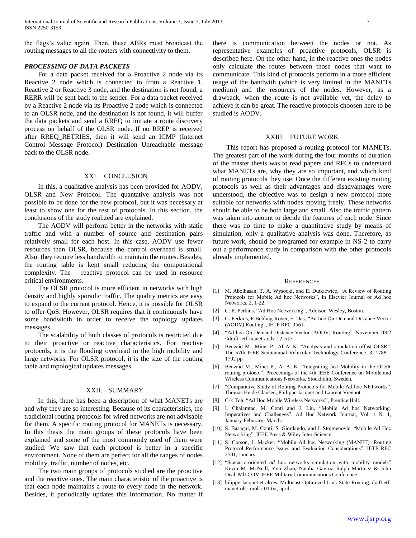the flags"s value again. Then, these ABRs must broadcast the routing messages to all the routers with connectivity to them.

## *PROCESSING OF DATA PACKETS*

 For a data packet received for a Proactive 2 node via its Reactive 2 node which is connected to from a Reactive 1, Reactive 2 or Reactive 3 node, and the destination is not found, a RERR will be sent back to the sender. For a data packet received by a Reactive 2 node via its Proactive 2 node which is connected to an OLSR node, and the destination is not found, it will buffer the data packets and send a RREQ to initiate a route discovery process on behalf of the OLSR node. If no RREP is received after RREQ\_RETRIES, then it will send an ICMP (Internet Control Message Protocol) Destination Unreachable message back to the OLSR node.

#### XXI. CONCLUSION

 In this, a qualitative analysis has been provided for AODV, OLSR and New Protocol. The quantative analysis was not possible to be done for the new protocol, but it was necessary at least to show one for the rest of protocols. In this section, the conclusions of the study realized are explained.

 The AODV will perform better in the networks with static traffic and with a number of source and destination pairs relatively small for each host. In this case, AODV use fewer resources than OLSR, because the control overhead is small. Also, they require less bandwidth to maintain the routes. Besides, the routing table is kept small reducing the computational complexity. The reactive protocol can be used in resource critical environments.

 The OLSR protocol is more efficient in networks with high density and highly sporadic traffic. The quality metrics are easy to expand to the current protocol. Hence, it is possible for OLSR to offer QoS. However, OLSR requires that it continuously have some bandwidth in order to receive the topology updates messages.

 The scalability of both classes of protocols is restricted due to their proactive or reactive characteristics. For reactive protocols, it is the flooding overhead in the high mobility and large networks. For OLSR protocol, it is the size of the routing table and topological updates messages.

#### XXII. SUMMARY

 In this, there has been a description of what MANETs are and why they are so interesting. Because of its characteristics, the tradicional routing protocols for wired networks are not advisable for them. A specific routing protocol for MANETs is necessary. In this thesis the main groups of these protocols have been explained and some of the most commonly used of them were studied. We saw that each protocol is better in a specific environment. None of them are perfect for all the ranges of nodes mobility, traffic, number of nodes, etc.

 The two main groups of protocols studied are the proactive and the reactive ones. The main characteristic of the proactive is that each node maintains a route to every node in the network. Besides, it periodically updates this information. No matter if there is communication between the nodes or not. As representative examples of proactive protocols, OLSR is described here. On the other hand, in the reactive ones the nodes only calculate the routes between those nodes that want to communicate. This kind of protocols perform in a more efficient usage of the bandwith (which is very limited in the MANETs medium) and the resources of the nodes. However, as a drawback, when the route is not available yet, the delay to achieve it can be great. The reactive protocols choosen here to be studied is AODV.

#### XXIII. FUTURE WORK

 This report has proposed a routing protocol for MANETs. The greatest part of the work during the four months of duration of the master thesis was to read papers and RFCs to understand what MANETs are, why they are so important, and which kind of routing protocols they use. Once the different existing routing protocols as well as their advantages and disadvantages were understood, the objective was to design a new protocol more suitable for networks with nodes moving freely. These networks should be able to be both large and small. Also the traffic pattern was taken into acount to decide the features of each node. Since there was no time to make a quantitative study by means of simulation, only a qualitative analysis was done. Therefore, as future work, should be programed for example in NS-2 to carry out a performance study in comparison with the other protocols already implemented.

#### **REFERENCES**

- [1] M. Abolhasan, T. A. Wysocki, and E. Dutkiewicz, "A Review of Routing Protocols for Mobile Ad hoc Networks", In Elsevier Journal of Ad hoc Networks, 2, 1-22.
- [2] C. E. Perkins, "Ad Hoc Networking", Addison-Wesley, Boston.
- [3] C. Perkins, E.Belding-Royer, S. Das, "Ad hoc On-Demand Distance Vector (AODV) Routing", IETF RFC 3561.
- [4] "Ad hoc On-Demand Distance Vector (AODV) Routing". November 2002 <draft-ietf-manet-aodv-12.txt>
- [5] Benzaid M., Minet P., Al A. K. "Analysis and simulation offast-OLSR". The 57th IEEE Semiannual Vehicular Technology Conference. 3. 1788 – 1792 pp
- [6] Benzaid M., Minet P., Al A. K. "Integrating fast Mobility in the OLSR routing protocol". Proceedings of the 4th IEEE Conference on Mobile and Wireless Communications Networks, Stockholm, Sweden.
- [7] "Comparative Study of Routing Protocols for Mobile Ad-hoc NETworks". Thomas Heide Clausen, Philippe Jacquet and Laurent Viennot.
- [8] C-k Toh, "Ad Hoc Mobile Wireless Networks", Prentice Hall.
- [9] I. Chalamtac, M. Conti and J. Liu, "Mobile Ad hoc Networking. Imperatives and Challenges", Ad Hoc Network Journal, Vol. 1 N. 1, January-Feburary- March.
- [10] S. Basagni, M. Conti, S. Giordando, and I. Stojmenovic, "Mobile Ad Hoc Networking", IEEE Press & Wiley Inter-Science.
- [11] S. Corson, J. Macker, "Mobile Ad hoc Networking (MANET): Routing Protocol Performance Issues and Evaluation Considerations", IETF RFC 2501, January.
- [12] "Scenario-oriented *ad* hoc networks simulation with mobility models" Kevin M. McNeill, Yun Zhao, Natalia Gaviria Ralph Martinez & John Deal. MlLCOM IEEE Military Communications Conference
- [13] hilippe Jacquet et altres. Multicast Optimized Link State Routing. draftietfmanet-olsr-molsr-01.txt, april.